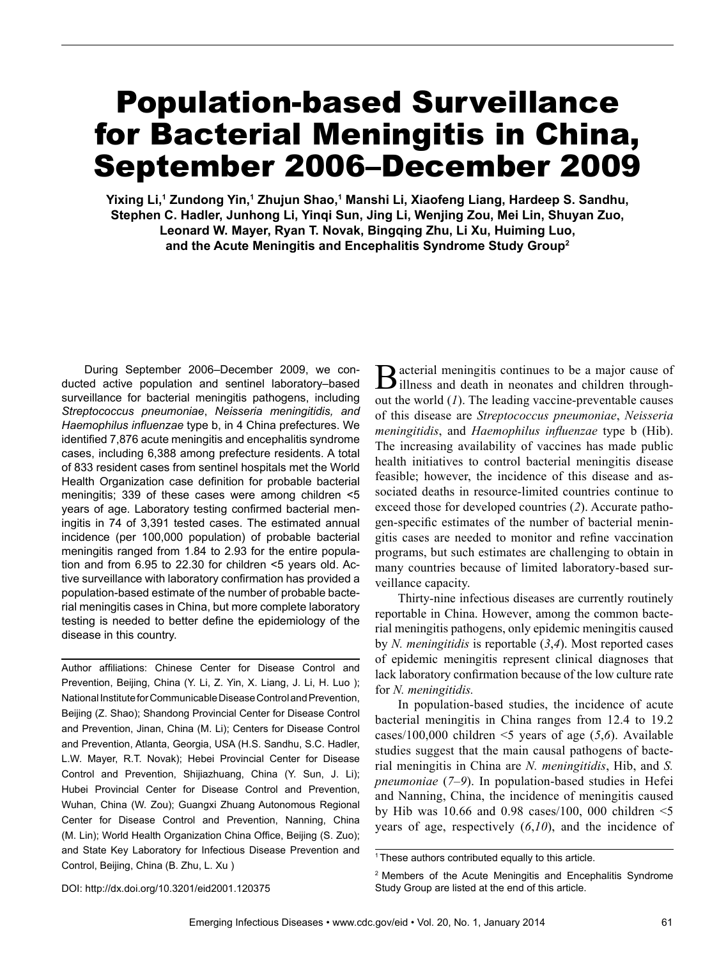# Population-based Surveillance for Bacterial Meningitis in China, September 2006–December 2009

**Yixing Li,<sup>1</sup> Zundong Yin,<sup>1</sup> Zhujun Shao,<sup>1</sup> Manshi Li, Xiaofeng Liang, Hardeep S. Sandhu, Stephen C. Hadler, Junhong Li, Yinqi Sun, Jing Li, Wenjing Zou, Mei Lin, Shuyan Zuo, Leonard W. Mayer, Ryan T. Novak, Bingqing Zhu, Li Xu, Huiming Luo, and the Acute Meningitis and Encephalitis Syndrome Study Group2**

During September 2006–December 2009, we conducted active population and sentinel laboratory–based surveillance for bacterial meningitis pathogens, including *Streptococcus pneumoniae*, *Neisseria meningitidis, and Haemophilus influenzae* type b, in 4 China prefectures. We identified 7,876 acute meningitis and encephalitis syndrome cases, including 6,388 among prefecture residents. A total of 833 resident cases from sentinel hospitals met the World Health Organization case definition for probable bacterial meningitis; 339 of these cases were among children <5 years of age. Laboratory testing confirmed bacterial meningitis in 74 of 3,391 tested cases. The estimated annual incidence (per 100,000 population) of probable bacterial meningitis ranged from 1.84 to 2.93 for the entire population and from 6.95 to 22.30 for children <5 years old. Active surveillance with laboratory confirmation has provided a population-based estimate of the number of probable bacterial meningitis cases in China, but more complete laboratory testing is needed to better define the epidemiology of the disease in this country.

Author affiliations: Chinese Center for Disease Control and Prevention, Beijing, China (Y. Li, Z. Yin, X. Liang, J. Li, H. Luo ); National Institute for Communicable Disease Control and Prevention, Beijing (Z. Shao); Shandong Provincial Center for Disease Control and Prevention, Jinan, China (M. Li); Centers for Disease Control and Prevention, Atlanta, Georgia, USA (H.S. Sandhu, S.C. Hadler, L.W. Mayer, R.T. Novak); Hebei Provincial Center for Disease Control and Prevention, Shijiazhuang, China (Y. Sun, J. Li); Hubei Provincial Center for Disease Control and Prevention, Wuhan, China (W. Zou); Guangxi Zhuang Autonomous Regional Center for Disease Control and Prevention, Nanning, China (M. Lin); World Health Organization China Office, Beijing (S. Zuo); and State Key Laboratory for Infectious Disease Prevention and Control, Beijing, China (B. Zhu, L. Xu )

**B**acterial meningitis continues to be a major cause of illness and death in neonates and children throughout the world (*1*). The leading vaccine-preventable causes of this disease are *Streptococcus pneumoniae*, *Neisseria meningitidis*, and *Haemophilus influenzae* type b (Hib). The increasing availability of vaccines has made public health initiatives to control bacterial meningitis disease feasible; however, the incidence of this disease and associated deaths in resource-limited countries continue to exceed those for developed countries (*2*). Accurate pathogen-specific estimates of the number of bacterial meningitis cases are needed to monitor and refine vaccination programs, but such estimates are challenging to obtain in many countries because of limited laboratory-based surveillance capacity.

Thirty-nine infectious diseases are currently routinely reportable in China. However, among the common bacterial meningitis pathogens, only epidemic meningitis caused by *N. meningitidis* is reportable (*3*,*4*). Most reported cases of epidemic meningitis represent clinical diagnoses that lack laboratory confirmation because of the low culture rate for *N. meningitidis.*

In population-based studies, the incidence of acute bacterial meningitis in China ranges from 12.4 to 19.2 cases/100,000 children <5 years of age (*5*,*6*). Available studies suggest that the main causal pathogens of bacterial meningitis in China are *N. meningitidis*, Hib, and *S. pneumoniae* (*7*–*9*). In population-based studies in Hefei and Nanning, China, the incidence of meningitis caused by Hib was 10.66 and 0.98 cases/100, 000 children <5 years of age, respectively (*6*,*10*), and the incidence of

<sup>&</sup>lt;sup>1</sup>These authors contributed equally to this article.

<sup>2</sup> Members of the Acute Meningitis and Encephalitis Syndrome Study Group are listed at the end of this article.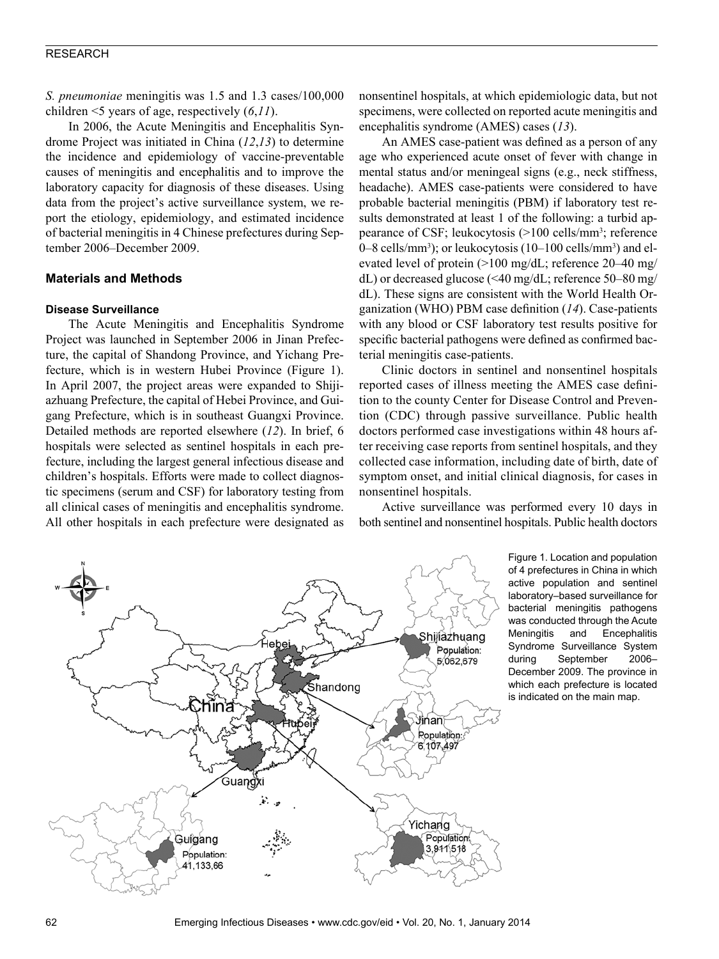*S. pneumoniae* meningitis was 1.5 and 1.3 cases/100,000 children <5 years of age, respectively (*6*,*11*).

In 2006, the Acute Meningitis and Encephalitis Syndrome Project was initiated in China (*12*,*13*) to determine the incidence and epidemiology of vaccine-preventable causes of meningitis and encephalitis and to improve the laboratory capacity for diagnosis of these diseases. Using data from the project's active surveillance system, we report the etiology, epidemiology, and estimated incidence of bacterial meningitis in 4 Chinese prefectures during September 2006–December 2009.

# **Materials and Methods**

# **Disease Surveillance**

The Acute Meningitis and Encephalitis Syndrome Project was launched in September 2006 in Jinan Prefecture, the capital of Shandong Province, and Yichang Prefecture, which is in western Hubei Province (Figure 1). In April 2007, the project areas were expanded to Shijiazhuang Prefecture, the capital of Hebei Province, and Guigang Prefecture, which is in southeast Guangxi Province. Detailed methods are reported elsewhere (*12*). In brief, 6 hospitals were selected as sentinel hospitals in each prefecture, including the largest general infectious disease and children's hospitals. Efforts were made to collect diagnostic specimens (serum and CSF) for laboratory testing from all clinical cases of meningitis and encephalitis syndrome. All other hospitals in each prefecture were designated as nonsentinel hospitals, at which epidemiologic data, but not specimens, were collected on reported acute meningitis and encephalitis syndrome (AMES) cases (*13*).

An AMES case-patient was defined as a person of any age who experienced acute onset of fever with change in mental status and/or meningeal signs (e.g., neck stiffness, headache). AMES case-patients were considered to have probable bacterial meningitis (PBM) if laboratory test results demonstrated at least 1 of the following: a turbid appearance of CSF; leukocytosis (>100 cells/mm<sup>3</sup>; reference 0–8 cells/mm<sup>3</sup> ); or leukocytosis (10–100 cells/mm<sup>3</sup> ) and elevated level of protein (>100 mg/dL; reference 20–40 mg/ dL) or decreased glucose (<40 mg/dL; reference 50–80 mg/ dL). These signs are consistent with the World Health Organization (WHO) PBM case definition (*14*). Case-patients with any blood or CSF laboratory test results positive for specific bacterial pathogens were defined as confirmed bacterial meningitis case-patients.

Clinic doctors in sentinel and nonsentinel hospitals reported cases of illness meeting the AMES case definition to the county Center for Disease Control and Prevention (CDC) through passive surveillance. Public health doctors performed case investigations within 48 hours after receiving case reports from sentinel hospitals, and they collected case information, including date of birth, date of symptom onset, and initial clinical diagnosis, for cases in nonsentinel hospitals.

Active surveillance was performed every 10 days in both sentinel and nonsentinel hospitals. Public health doctors



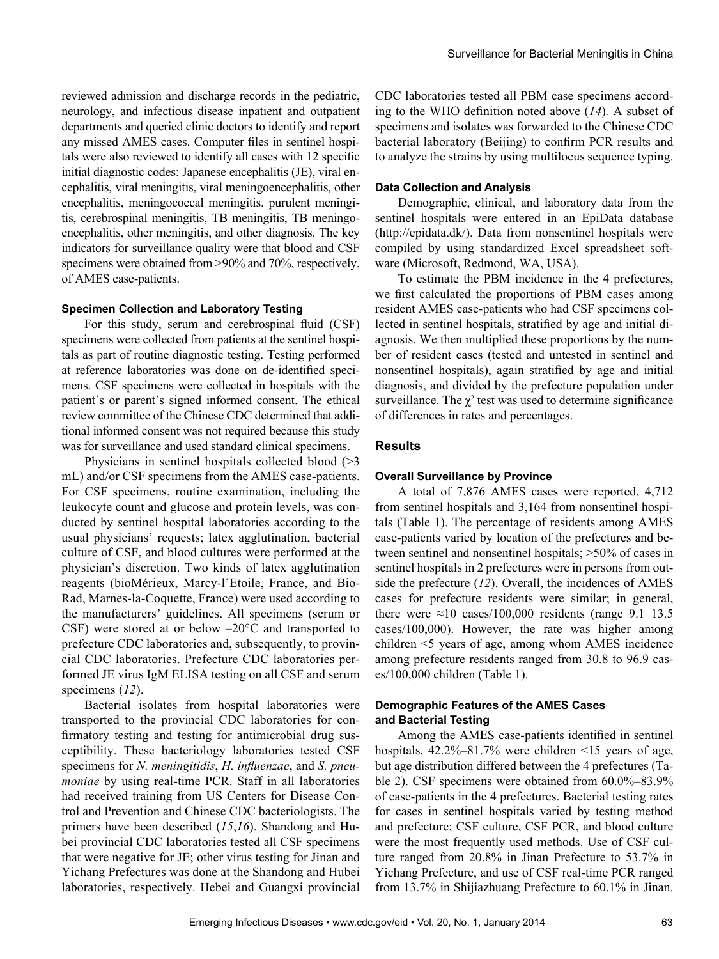reviewed admission and discharge records in the pediatric, neurology, and infectious disease inpatient and outpatient departments and queried clinic doctors to identify and report any missed AMES cases. Computer files in sentinel hospitals were also reviewed to identify all cases with 12 specific initial diagnostic codes: Japanese encephalitis (JE), viral encephalitis, viral meningitis, viral meningoencephalitis, other encephalitis, meningococcal meningitis, purulent meningitis, cerebrospinal meningitis, TB meningitis, TB meningo-

encephalitis, other meningitis, and other diagnosis. The key indicators for surveillance quality were that blood and CSF specimens were obtained from >90% and 70%, respectively, of AMES case-patients.

# **Specimen Collection and Laboratory Testing**

For this study, serum and cerebrospinal fluid (CSF) specimens were collected from patients at the sentinel hospitals as part of routine diagnostic testing. Testing performed at reference laboratories was done on de-identified specimens. CSF specimens were collected in hospitals with the patient's or parent's signed informed consent. The ethical review committee of the Chinese CDC determined that additional informed consent was not required because this study was for surveillance and used standard clinical specimens.

Physicians in sentinel hospitals collected blood  $(\geq)$ mL) and/or CSF specimens from the AMES case-patients. For CSF specimens, routine examination, including the leukocyte count and glucose and protein levels, was conducted by sentinel hospital laboratories according to the usual physicians' requests; latex agglutination, bacterial culture of CSF, and blood cultures were performed at the physician's discretion. Two kinds of latex agglutination reagents (bioMérieux, Marcy-l'Etoile, France, and Bio-Rad, Marnes-la-Coquette, France) were used according to the manufacturers' guidelines. All specimens (serum or CSF) were stored at or below  $-20^{\circ}$ C and transported to prefecture CDC laboratories and, subsequently, to provincial CDC laboratories. Prefecture CDC laboratories performed JE virus IgM ELISA testing on all CSF and serum specimens (*12*).

Bacterial isolates from hospital laboratories were transported to the provincial CDC laboratories for confirmatory testing and testing for antimicrobial drug susceptibility. These bacteriology laboratories tested CSF specimens for *N. meningitidis*, *H. influenzae*, and *S. pneumoniae* by using real-time PCR. Staff in all laboratories had received training from US Centers for Disease Control and Prevention and Chinese CDC bacteriologists. The primers have been described (*15*,*16*). Shandong and Hubei provincial CDC laboratories tested all CSF specimens that were negative for JE; other virus testing for Jinan and Yichang Prefectures was done at the Shandong and Hubei laboratories, respectively. Hebei and Guangxi provincial

CDC laboratories tested all PBM case specimens according to the WHO definition noted above (*14*)*.* A subset of specimens and isolates was forwarded to the Chinese CDC bacterial laboratory (Beijing) to confirm PCR results and to analyze the strains by using multilocus sequence typing.

# **Data Collection and Analysis**

Demographic, clinical, and laboratory data from the sentinel hospitals were entered in an EpiData database (http://epidata.dk/). Data from nonsentinel hospitals were compiled by using standardized Excel spreadsheet software (Microsoft, Redmond, WA, USA).

To estimate the PBM incidence in the 4 prefectures, we first calculated the proportions of PBM cases among resident AMES case-patients who had CSF specimens collected in sentinel hospitals, stratified by age and initial diagnosis. We then multiplied these proportions by the number of resident cases (tested and untested in sentinel and nonsentinel hospitals), again stratified by age and initial diagnosis, and divided by the prefecture population under surveillance. The  $\chi^2$  test was used to determine significance of differences in rates and percentages.

# **Results**

# **Overall Surveillance by Province**

A total of 7,876 AMES cases were reported, 4,712 from sentinel hospitals and 3,164 from nonsentinel hospitals (Table 1). The percentage of residents among AMES case-patients varied by location of the prefectures and between sentinel and nonsentinel hospitals; >50% of cases in sentinel hospitals in 2 prefectures were in persons from outside the prefecture (*12*). Overall, the incidences of AMES cases for prefecture residents were similar; in general, there were  $\approx$ 10 cases/100,000 residents (range 9.1 13.5 cases/100,000). However, the rate was higher among children <5 years of age, among whom AMES incidence among prefecture residents ranged from 30.8 to 96.9 cases/100,000 children (Table 1).

# **Demographic Features of the AMES Cases and Bacterial Testing**

Among the AMES case-patients identified in sentinel hospitals, 42.2%–81.7% were children <15 years of age, but age distribution differed between the 4 prefectures (Table 2). CSF specimens were obtained from 60.0%–83.9% of case-patients in the 4 prefectures. Bacterial testing rates for cases in sentinel hospitals varied by testing method and prefecture; CSF culture, CSF PCR, and blood culture were the most frequently used methods. Use of CSF culture ranged from 20.8% in Jinan Prefecture to 53.7% in Yichang Prefecture, and use of CSF real-time PCR ranged from 13.7% in Shijiazhuang Prefecture to 60.1% in Jinan.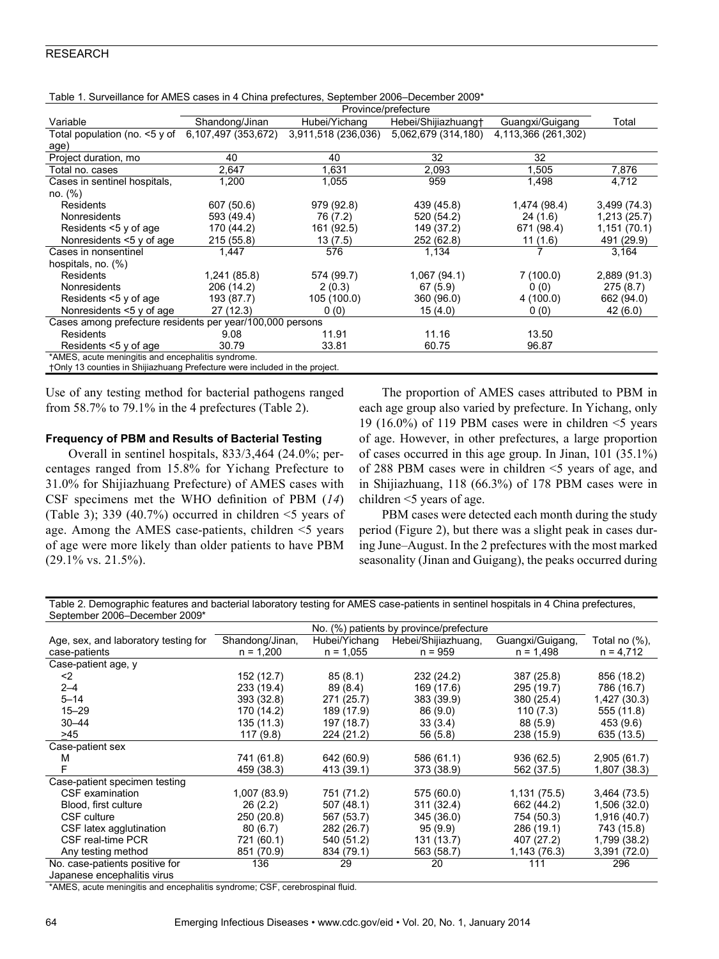|                                                                            | Province/prefecture |                     |                     |                     |              |  |  |
|----------------------------------------------------------------------------|---------------------|---------------------|---------------------|---------------------|--------------|--|--|
| Variable                                                                   | Shandong/Jinan      | Hubei/Yichang       | Hebei/Shijiazhuang† | Guangxi/Guigang     | Total        |  |  |
| Total population (no. <5 y of 6.107,497 (353,672)                          |                     | 3,911,518 (236,036) | 5,062,679 (314,180) | 4,113,366 (261,302) |              |  |  |
| age)                                                                       |                     |                     |                     |                     |              |  |  |
| Project duration, mo                                                       | 40                  | 40                  | 32                  | 32                  |              |  |  |
| Total no. cases                                                            | 2,647               | 1,631               | 2,093               | 1,505               | 7,876        |  |  |
| Cases in sentinel hospitals.                                               | 1,200               | 1,055               | 959                 | 1,498               | 4,712        |  |  |
| no. (%)                                                                    |                     |                     |                     |                     |              |  |  |
| Residents                                                                  | 607 (50.6)          | 979 (92.8)          | 439 (45.8)          | 1,474 (98.4)        | 3,499(74.3)  |  |  |
| <b>Nonresidents</b>                                                        | 593 (49.4)          | 76 (7.2)            | 520 (54.2)          | 24 (1.6)            | 1,213 (25.7) |  |  |
| Residents $< 5$ y of age                                                   | 170 (44.2)          | 161 (92.5)          | 149 (37.2)          | 671 (98.4)          | 1,151(70.1)  |  |  |
| Nonresidents <5 y of age                                                   | 215 (55.8)          | 13(7.5)             | 252 (62.8)          | 11 (1.6)            | 491 (29.9)   |  |  |
| Cases in nonsentinel                                                       | 1,447               | 576                 | 1,134               |                     | 3,164        |  |  |
| hospitals, no. $(\%)$                                                      |                     |                     |                     |                     |              |  |  |
| Residents                                                                  | 1,241 (85.8)        | 574 (99.7)          | 1,067 (94.1)        | 7(100.0)            | 2,889 (91.3) |  |  |
| <b>Nonresidents</b>                                                        | 206 (14.2)          | 2(0.3)              | 67(5.9)             | 0(0)                | 275(8.7)     |  |  |
| Residents $<$ 5 y of age                                                   | 193 (87.7)          | 105 (100.0)         | 360 (96.0)          | 4(100.0)            | 662 (94.0)   |  |  |
| Nonresidents <5 y of age                                                   | 27(12.3)            | 0(0)                | 15(4.0)             | 0(0)                | 42 (6.0)     |  |  |
| Cases among prefecture residents per year/100,000 persons                  |                     |                     |                     |                     |              |  |  |
| <b>Residents</b>                                                           | 9.08                | 11.91               | 11.16               | 13.50               |              |  |  |
| Residents <5 y of age                                                      | 30.79               | 33.81               | 60.75               | 96.87               |              |  |  |
| *AMES, acute meningitis and encephalitis syndrome.                         |                     |                     |                     |                     |              |  |  |
| +Only 13 counties in Shijiazhuang Prefecture were included in the project. |                     |                     |                     |                     |              |  |  |

| Table 1. Surveillance for AMES cases in 4 China prefectures, September 2006–December 2009* |  |
|--------------------------------------------------------------------------------------------|--|
|--------------------------------------------------------------------------------------------|--|

Use of any testing method for bacterial pathogens ranged from 58.7% to 79.1% in the 4 prefectures (Table 2).

#### **Frequency of PBM and Results of Bacterial Testing**

Overall in sentinel hospitals, 833/3,464 (24.0%; percentages ranged from 15.8% for Yichang Prefecture to 31.0% for Shijiazhuang Prefecture) of AMES cases with CSF specimens met the WHO definition of PBM (*14*) (Table 3); 339 (40.7%) occurred in children  $\leq$  years of age. Among the AMES case-patients, children  $\leq$  years of age were more likely than older patients to have PBM (29.1% vs. 21.5%).

The proportion of AMES cases attributed to PBM in each age group also varied by prefecture. In Yichang, only 19 (16.0%) of 119 PBM cases were in children  $\leq$  years of age. However, in other prefectures, a large proportion of cases occurred in this age group. In Jinan, 101 (35.1%) of 288 PBM cases were in children <5 years of age, and in Shijiazhuang, 118 (66.3%) of 178 PBM cases were in children <5 years of age.

PBM cases were detected each month during the study period (Figure 2), but there was a slight peak in cases during June–August. In the 2 prefectures with the most marked seasonality (Jinan and Guigang), the peaks occurred during

Table 2. Demographic features and bacterial laboratory testing for AMES case-patients in sentinel hospitals in 4 China prefectures, September 2006–December 2009\*

|                                      | No. (%) patients by province/prefecture |               |                     |                  |                   |
|--------------------------------------|-----------------------------------------|---------------|---------------------|------------------|-------------------|
| Age, sex, and laboratory testing for | Shandong/Jinan,                         | Hubei/Yichang | Hebei/Shijiazhuang, | Guangxi/Guigang, | Total no $(\%)$ , |
| case-patients                        | $n = 1,200$                             | $n = 1,055$   | $n = 959$           | $n = 1,498$      | $n = 4.712$       |
| Case-patient age, y                  |                                         |               |                     |                  |                   |
| <2                                   | 152 (12.7)                              | 85(8.1)       | 232 (24.2)          | 387 (25.8)       | 856 (18.2)        |
| $2 - 4$                              | 233 (19.4)                              | 89 (8.4)      | 169 (17.6)          | 295 (19.7)       | 786 (16.7)        |
| $5 - 14$                             | 393 (32.8)                              | 271 (25.7)    | 383 (39.9)          | 380 (25.4)       | 1,427 (30.3)      |
| $15 - 29$                            | 170 (14.2)                              | 189 (17.9)    | 86 (9.0)            | 110(7.3)         | 555 (11.8)        |
| $30 - 44$                            | 135 (11.3)                              | 197 (18.7)    | 33(3.4)             | 88 (5.9)         | 453 (9.6)         |
| >45                                  | 117 (9.8)                               | 224 (21.2)    | 56 (5.8)            | 238 (15.9)       | 635 (13.5)        |
| Case-patient sex                     |                                         |               |                     |                  |                   |
| М                                    | 741 (61.8)                              | 642 (60.9)    | 586 (61.1)          | 936 (62.5)       | 2,905(61.7)       |
|                                      | 459 (38.3)                              | 413 (39.1)    | 373 (38.9)          | 562 (37.5)       | 1,807 (38.3)      |
| Case-patient specimen testing        |                                         |               |                     |                  |                   |
| CSF examination                      | 1,007 (83.9)                            | 751 (71.2)    | 575 (60.0)          | 1,131 (75.5)     | 3,464(73.5)       |
| Blood, first culture                 | 26(2.2)                                 | 507 (48.1)    | 311 (32.4)          | 662 (44.2)       | 1,506 (32.0)      |
| CSF culture                          | 250 (20.8)                              | 567 (53.7)    | 345 (36.0)          | 754 (50.3)       | 1,916 (40.7)      |
| CSF latex agglutination              | 80(6.7)                                 | 282 (26.7)    | 95(9.9)             | 286 (19.1)       | 743 (15.8)        |
| CSF real-time PCR                    | 721 (60.1)                              | 540 (51.2)    | 131 (13.7)          | 407 (27.2)       | 1,799 (38.2)      |
| Any testing method                   | 851 (70.9)                              | 834 (79.1)    | 563 (58.7)          | 1,143 (76.3)     | 3,391 (72.0)      |
| No. case-patients positive for       | 136                                     | 29            | 20                  | 111              | 296               |
| Japanese encephalitis virus          |                                         |               |                     |                  |                   |

\*AMES, acute meningitis and encephalitis syndrome; CSF, cerebrospinal fluid.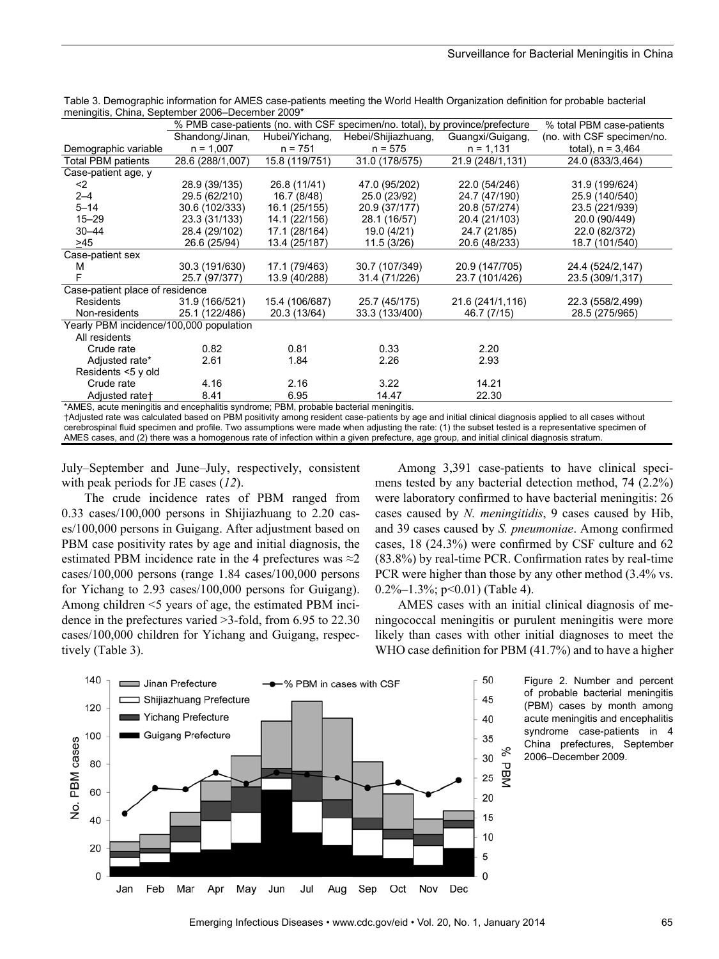| moningino, Orima, Ooptonibor 2000 Doocimoor 2000                                      |                                                                               |                |                     |                  |                            |  |
|---------------------------------------------------------------------------------------|-------------------------------------------------------------------------------|----------------|---------------------|------------------|----------------------------|--|
|                                                                                       | % PMB case-patients (no. with CSF specimen/no. total), by province/prefecture |                |                     |                  | % total PBM case-patients  |  |
|                                                                                       | Shandong/Jinan,                                                               | Hubei/Yichang, | Hebei/Shijiazhuang, | Guangxi/Guigang, | (no. with CSF specimen/no. |  |
| Demographic variable                                                                  | $n = 1,007$                                                                   | $n = 751$      | $n = 575$           | $n = 1,131$      | total), $n = 3,464$        |  |
| Total PBM patients                                                                    | 28.6 (288/1,007)                                                              | 15.8 (119/751) | 31.0 (178/575)      | 21.9 (248/1,131) | 24.0 (833/3,464)           |  |
| Case-patient age, y                                                                   |                                                                               |                |                     |                  |                            |  |
| <2                                                                                    | 28.9 (39/135)                                                                 | 26.8 (11/41)   | 47.0 (95/202)       | 22.0 (54/246)    | 31.9 (199/624)             |  |
| $2 - 4$                                                                               | 29.5 (62/210)                                                                 | 16.7 (8/48)    | 25.0 (23/92)        | 24.7 (47/190)    | 25.9 (140/540)             |  |
| $5 - 14$                                                                              | 30.6 (102/333)                                                                | 16.1 (25/155)  | 20.9 (37/177)       | 20.8 (57/274)    | 23.5 (221/939)             |  |
| $15 - 29$                                                                             | 23.3 (31/133)                                                                 | 14.1 (22/156)  | 28.1 (16/57)        | 20.4 (21/103)    | 20.0 (90/449)              |  |
| $30 - 44$                                                                             | 28.4 (29/102)                                                                 | 17.1 (28/164)  | 19.0 (4/21)         | 24.7 (21/85)     | 22.0 (82/372)              |  |
| >45                                                                                   | 26.6 (25/94)                                                                  | 13.4 (25/187)  | 11.5(3/26)          | 20.6 (48/233)    | 18.7 (101/540)             |  |
| Case-patient sex                                                                      |                                                                               |                |                     |                  |                            |  |
| м                                                                                     | 30.3 (191/630)                                                                | 17.1 (79/463)  | 30.7 (107/349)      | 20.9 (147/705)   | 24.4 (524/2,147)           |  |
|                                                                                       | 25.7 (97/377)                                                                 | 13.9 (40/288)  | 31.4 (71/226)       | 23.7 (101/426)   | 23.5 (309/1,317)           |  |
| Case-patient place of residence                                                       |                                                                               |                |                     |                  |                            |  |
| Residents                                                                             | 31.9 (166/521)                                                                | 15.4 (106/687) | 25.7 (45/175)       | 21.6 (241/1,116) | 22.3 (558/2,499)           |  |
| Non-residents                                                                         | 25.1 (122/486)                                                                | 20.3 (13/64)   | 33.3 (133/400)      | 46.7 (7/15)      | 28.5 (275/965)             |  |
| Yearly PBM incidence/100,000 population                                               |                                                                               |                |                     |                  |                            |  |
| All residents                                                                         |                                                                               |                |                     |                  |                            |  |
| Crude rate                                                                            | 0.82                                                                          | 0.81           | 0.33                | 2.20             |                            |  |
| Adjusted rate*                                                                        | 2.61                                                                          | 1.84           | 2.26                | 2.93             |                            |  |
| Residents <5 y old                                                                    |                                                                               |                |                     |                  |                            |  |
| Crude rate                                                                            | 4.16                                                                          | 2.16           | 3.22                | 14.21            |                            |  |
| Adjusted rate+                                                                        | 8.41                                                                          | 6.95           | 14.47               | 22.30            |                            |  |
| *AMES, acute meningitie and encephalitie syndrome: DRM, probable bacterial meningitie |                                                                               |                |                     |                  |                            |  |

Table 3. Demographic information for AMES case-patients meeting the World Health Organization definition for probable bacterial meningitis, China, September 2006–December 2009\*

\*AMES, acute meningitis and encephalitis syndrome; PBM, probable bacterial meningitis.

†Adjusted rate was calculated based on PBM positivity among resident case-patients by age and initial clinical diagnosis applied to all cases without cerebrospinal fluid specimen and profile. Two assumptions were made when adjusting the rate: (1) the subset tested is a representative specimen of AMES cases, and (2) there was a homogenous rate of infection within a given prefecture, age group, and initial clinical diagnosis stratum.

July–September and June–July, respectively, consistent with peak periods for JE cases (*12*).

The crude incidence rates of PBM ranged from 0.33 cases/100,000 persons in Shijiazhuang to 2.20 cases/100,000 persons in Guigang. After adjustment based on PBM case positivity rates by age and initial diagnosis, the estimated PBM incidence rate in the 4 prefectures was  $\approx$ 2 cases/100,000 persons (range 1.84 cases/100,000 persons for Yichang to 2.93 cases/100,000 persons for Guigang). Among children <5 years of age, the estimated PBM incidence in the prefectures varied >3-fold, from 6.95 to 22.30 cases/100,000 children for Yichang and Guigang, respectively (Table 3).

Among 3,391 case-patients to have clinical specimens tested by any bacterial detection method, 74 (2.2%) were laboratory confirmed to have bacterial meningitis: 26 cases caused by *N. meningitidis*, 9 cases caused by Hib, and 39 cases caused by *S. pneumoniae*. Among confirmed cases, 18 (24.3%) were confirmed by CSF culture and 62 (83.8%) by real-time PCR. Confirmation rates by real-time PCR were higher than those by any other method (3.4% vs.  $0.2\%$ –1.3%; p<0.01) (Table 4).

AMES cases with an initial clinical diagnosis of meningococcal meningitis or purulent meningitis were more likely than cases with other initial diagnoses to meet the WHO case definition for PBM (41.7%) and to have a higher



Figure 2. Number and percent of probable bacterial meningitis (PBM) cases by month among acute meningitis and encephalitis syndrome case-patients in 4 China prefectures, September 2006–December 2009.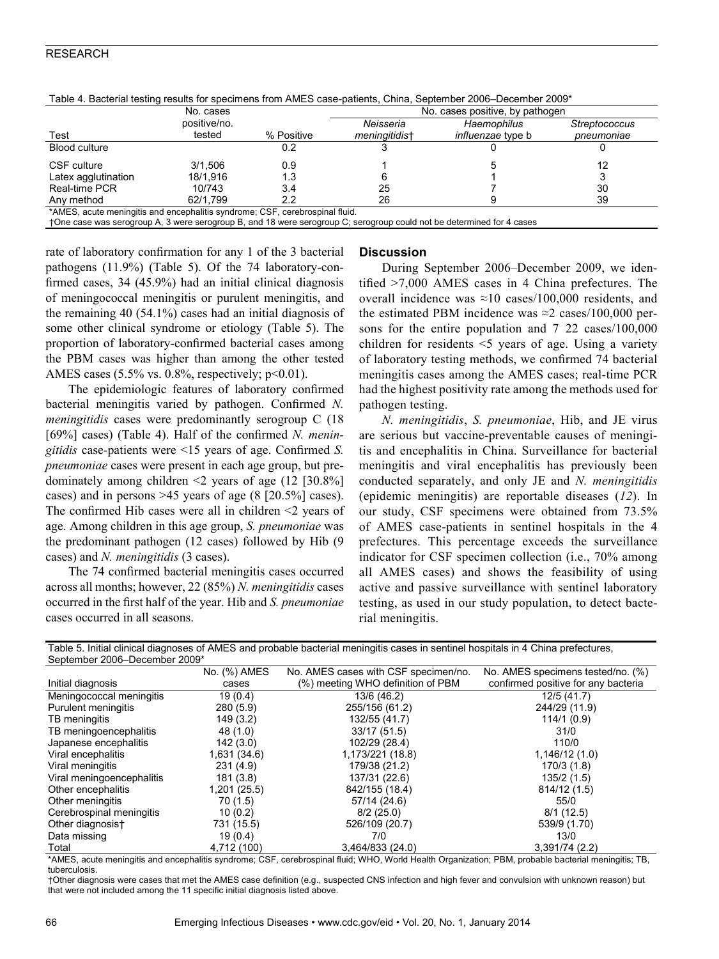|                                                                              | No. cases              |            |                            | No. cases positive, by pathogen         |                             |  |
|------------------------------------------------------------------------------|------------------------|------------|----------------------------|-----------------------------------------|-----------------------------|--|
| Test                                                                         | positive/no.<br>tested | % Positive | Neisseria<br>meningitidis† | Haemophilus<br><i>influenzae</i> type b | Streptococcus<br>pneumoniae |  |
| Blood culture                                                                |                        | 0.2        |                            |                                         |                             |  |
| CSF culture                                                                  | 3/1.506                | 0.9        |                            |                                         | 12                          |  |
| Latex agglutination                                                          | 18/1.916               | 1.3        |                            |                                         |                             |  |
| <b>Real-time PCR</b>                                                         | 10/743                 | 3.4        | 25                         |                                         | 30                          |  |
| Anv method                                                                   | 62/1.799               | 2.2        | 26                         |                                         | 39                          |  |
| *AMES, acute meningitis and encephalitis syndrome; CSF, cerebrospinal fluid. |                        |            |                            |                                         |                             |  |

†One case was serogroup A, 3 were serogroup B, and 18 were serogroup C; serogroup could not be determined for 4 cases

rate of laboratory confirmation for any 1 of the 3 bacterial pathogens (11.9%) (Table 5). Of the 74 laboratory-confirmed cases, 34 (45.9%) had an initial clinical diagnosis of meningococcal meningitis or purulent meningitis, and the remaining 40 (54.1%) cases had an initial diagnosis of some other clinical syndrome or etiology (Table 5). The proportion of laboratory-confirmed bacterial cases among the PBM cases was higher than among the other tested AMES cases  $(5.5\% \text{ vs. } 0.8\%$ , respectively; p<0.01).

The epidemiologic features of laboratory confirmed bacterial meningitis varied by pathogen. Confirmed *N. meningitidis* cases were predominantly serogroup C (18 [69%] cases) (Table 4). Half of the confirmed *N. meningitidis* case-patients were <15 years of age. Confirmed *S. pneumoniae* cases were present in each age group, but predominately among children  $\leq$  years of age (12 [30.8%] cases) and in persons >45 years of age (8 [20.5%] cases). The confirmed Hib cases were all in children  $\leq$  years of age. Among children in this age group, *S. pneumoniae* was the predominant pathogen (12 cases) followed by Hib (9 cases) and *N. meningitidis* (3 cases).

The 74 confirmed bacterial meningitis cases occurred across all months; however, 22 (85%) *N. meningitidis* cases occurred in the first half of the year. Hib and *S. pneumoniae* cases occurred in all seasons.

# **Discussion**

During September 2006–December 2009, we identified >7,000 AMES cases in 4 China prefectures. The overall incidence was  $\approx$ 10 cases/100,000 residents, and the estimated PBM incidence was  $\approx$ 2 cases/100,000 persons for the entire population and 7 22 cases/100,000 children for residents <5 years of age. Using a variety of laboratory testing methods, we confirmed 74 bacterial meningitis cases among the AMES cases; real-time PCR had the highest positivity rate among the methods used for pathogen testing.

*N. meningitidis*, *S. pneumoniae*, Hib, and JE virus are serious but vaccine-preventable causes of meningitis and encephalitis in China. Surveillance for bacterial meningitis and viral encephalitis has previously been conducted separately, and only JE and *N. meningitidis* (epidemic meningitis) are reportable diseases (*12*). In our study, CSF specimens were obtained from 73.5% of AMES case-patients in sentinel hospitals in the 4 prefectures. This percentage exceeds the surveillance indicator for CSF specimen collection (i.e., 70% among all AMES cases) and shows the feasibility of using active and passive surveillance with sentinel laboratory testing, as used in our study population, to detect bacterial meningitis.

| September 2006-December 2009* |              |                                      |                                     |  |  |  |
|-------------------------------|--------------|--------------------------------------|-------------------------------------|--|--|--|
|                               | No. (%) AMES | No. AMES cases with CSF specimen/no. | No. AMES specimens tested/no. (%)   |  |  |  |
| Initial diagnosis             | cases        | (%) meeting WHO definition of PBM    | confirmed positive for any bacteria |  |  |  |
| Meningococcal meningitis      | 19(0.4)      | 13/6 (46.2)                          | 12/5(41.7)                          |  |  |  |
| Purulent meningitis           | 280 (5.9)    | 255/156 (61.2)                       | 244/29 (11.9)                       |  |  |  |
| TB meningitis                 | 149 (3.2)    | 132/55 (41.7)                        | 114/1 (0.9)                         |  |  |  |
| TB meningoencephalitis        | 48 (1.0)     | 33/17 (51.5)                         | 31/0                                |  |  |  |
| Japanese encephalitis         | 142(3.0)     | 102/29 (28.4)                        | 110/0                               |  |  |  |
| Viral encephalitis            | 1,631 (34.6) | 1,173/221 (18.8)                     | 1,146/12(1.0)                       |  |  |  |
| Viral meningitis              | 231 (4.9)    | 179/38 (21.2)                        | 170/3 (1.8)                         |  |  |  |
| Viral meningoencephalitis     | 181 (3.8)    | 137/31 (22.6)                        | 135/2(1.5)                          |  |  |  |
| Other encephalitis            | 1,201 (25.5) | 842/155 (18.4)                       | 814/12 (1.5)                        |  |  |  |
| Other meningitis              | 70 (1.5)     | 57/14 (24.6)                         | 55/0                                |  |  |  |
| Cerebrospinal meningitis      | 10(0.2)      | 8/2(25.0)                            | 8/1(12.5)                           |  |  |  |
| Other diagnosis†              | 731 (15.5)   | 526/109 (20.7)                       | 539/9 (1.70)                        |  |  |  |
| Data missing                  | 19(0.4)      | 7/0                                  | 13/0                                |  |  |  |
| Total                         | 4,712 (100)  | 3,464/833 (24.0)                     | 3,391/74(2.2)                       |  |  |  |

Table 5. Initial clinical diagnoses of AMES and probable bacterial meningitis cases in sentinel hospitals in 4 China prefectures,

\*AMES, acute meningitis and encephalitis syndrome; CSF, cerebrospinal fluid; WHO, World Health Organization; PBM, probable bacterial meningitis; TB, tuberculosis.

†Other diagnosis were cases that met the AMES case definition (e.g., suspected CNS infection and high fever and convulsion with unknown reason) but that were not included among the 11 specific initial diagnosis listed above.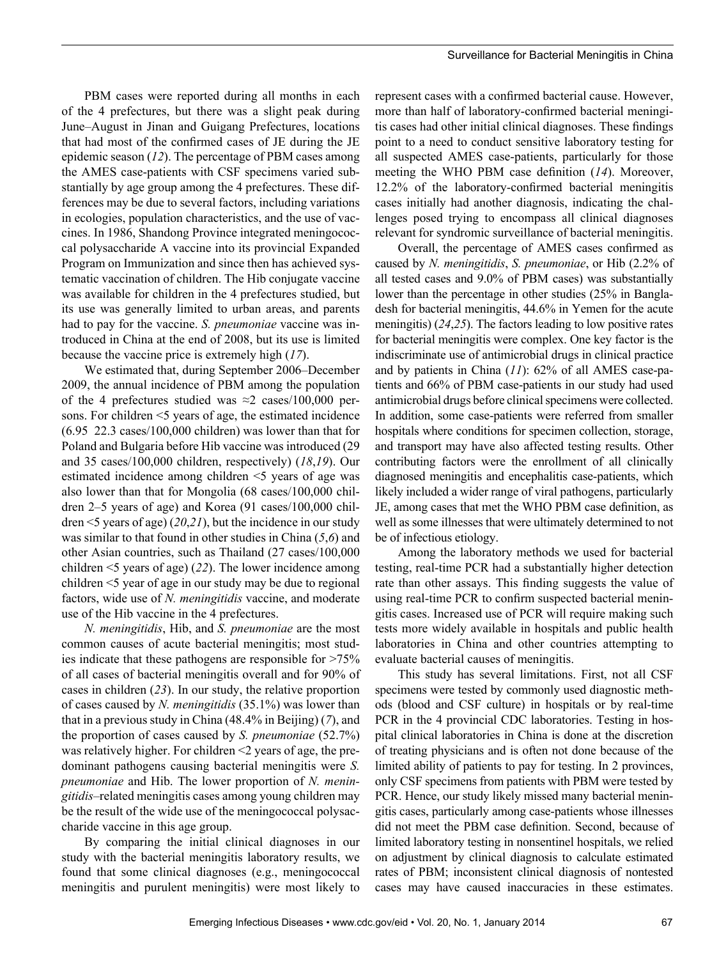PBM cases were reported during all months in each of the 4 prefectures, but there was a slight peak during June–August in Jinan and Guigang Prefectures, locations that had most of the confirmed cases of JE during the JE epidemic season (*12*). The percentage of PBM cases among the AMES case-patients with CSF specimens varied substantially by age group among the 4 prefectures. These differences may be due to several factors, including variations in ecologies, population characteristics, and the use of vaccines. In 1986, Shandong Province integrated meningococcal polysaccharide A vaccine into its provincial Expanded Program on Immunization and since then has achieved systematic vaccination of children. The Hib conjugate vaccine was available for children in the 4 prefectures studied, but its use was generally limited to urban areas, and parents had to pay for the vaccine. *S. pneumoniae* vaccine was introduced in China at the end of 2008, but its use is limited because the vaccine price is extremely high (*17*).

We estimated that, during September 2006–December 2009, the annual incidence of PBM among the population of the 4 prefectures studied was  $\approx$ 2 cases/100,000 persons. For children <5 years of age, the estimated incidence (6.95 22.3 cases/100,000 children) was lower than that for Poland and Bulgaria before Hib vaccine was introduced (29 and 35 cases/100,000 children, respectively) (*18*,*19*). Our estimated incidence among children <5 years of age was also lower than that for Mongolia (68 cases/100,000 children 2–5 years of age) and Korea (91 cases/100,000 children <5 years of age) (*20*,*21*), but the incidence in our study was similar to that found in other studies in China (*5*,*6*) and other Asian countries, such as Thailand (27 cases/100,000 children <5 years of age) (*22*). The lower incidence among children <5 year of age in our study may be due to regional factors, wide use of *N. meningitidis* vaccine, and moderate use of the Hib vaccine in the 4 prefectures.

*N. meningitidis*, Hib, and *S. pneumoniae* are the most common causes of acute bacterial meningitis; most studies indicate that these pathogens are responsible for >75% of all cases of bacterial meningitis overall and for 90% of cases in children (*23*). In our study, the relative proportion of cases caused by *N. meningitidis* (35.1%) was lower than that in a previous study in China (48.4% in Beijing) (*7*), and the proportion of cases caused by *S. pneumoniae* (52.7%) was relatively higher. For children  $\leq$  years of age, the predominant pathogens causing bacterial meningitis were *S. pneumoniae* and Hib. The lower proportion of *N. meningitidis*–related meningitis cases among young children may be the result of the wide use of the meningococcal polysaccharide vaccine in this age group.

By comparing the initial clinical diagnoses in our study with the bacterial meningitis laboratory results, we found that some clinical diagnoses (e.g., meningococcal meningitis and purulent meningitis) were most likely to

represent cases with a confirmed bacterial cause. However, more than half of laboratory-confirmed bacterial meningitis cases had other initial clinical diagnoses. These findings point to a need to conduct sensitive laboratory testing for all suspected AMES case-patients, particularly for those meeting the WHO PBM case definition (*14*). Moreover, 12.2% of the laboratory-confirmed bacterial meningitis cases initially had another diagnosis, indicating the challenges posed trying to encompass all clinical diagnoses relevant for syndromic surveillance of bacterial meningitis.

Overall, the percentage of AMES cases confirmed as caused by *N. meningitidis*, *S. pneumoniae*, or Hib (2.2% of all tested cases and 9.0% of PBM cases) was substantially lower than the percentage in other studies (25% in Bangladesh for bacterial meningitis, 44.6% in Yemen for the acute meningitis) (*24*,*25*). The factors leading to low positive rates for bacterial meningitis were complex. One key factor is the indiscriminate use of antimicrobial drugs in clinical practice and by patients in China (*11*): 62% of all AMES case-patients and 66% of PBM case-patients in our study had used antimicrobial drugs before clinical specimens were collected. In addition, some case-patients were referred from smaller hospitals where conditions for specimen collection, storage, and transport may have also affected testing results. Other contributing factors were the enrollment of all clinically diagnosed meningitis and encephalitis case-patients, which likely included a wider range of viral pathogens, particularly JE, among cases that met the WHO PBM case definition, as well as some illnesses that were ultimately determined to not be of infectious etiology.

Among the laboratory methods we used for bacterial testing, real-time PCR had a substantially higher detection rate than other assays. This finding suggests the value of using real-time PCR to confirm suspected bacterial meningitis cases. Increased use of PCR will require making such tests more widely available in hospitals and public health laboratories in China and other countries attempting to evaluate bacterial causes of meningitis.

This study has several limitations. First, not all CSF specimens were tested by commonly used diagnostic methods (blood and CSF culture) in hospitals or by real-time PCR in the 4 provincial CDC laboratories. Testing in hospital clinical laboratories in China is done at the discretion of treating physicians and is often not done because of the limited ability of patients to pay for testing. In 2 provinces, only CSF specimens from patients with PBM were tested by PCR. Hence, our study likely missed many bacterial meningitis cases, particularly among case-patients whose illnesses did not meet the PBM case definition. Second, because of limited laboratory testing in nonsentinel hospitals, we relied on adjustment by clinical diagnosis to calculate estimated rates of PBM; inconsistent clinical diagnosis of nontested cases may have caused inaccuracies in these estimates.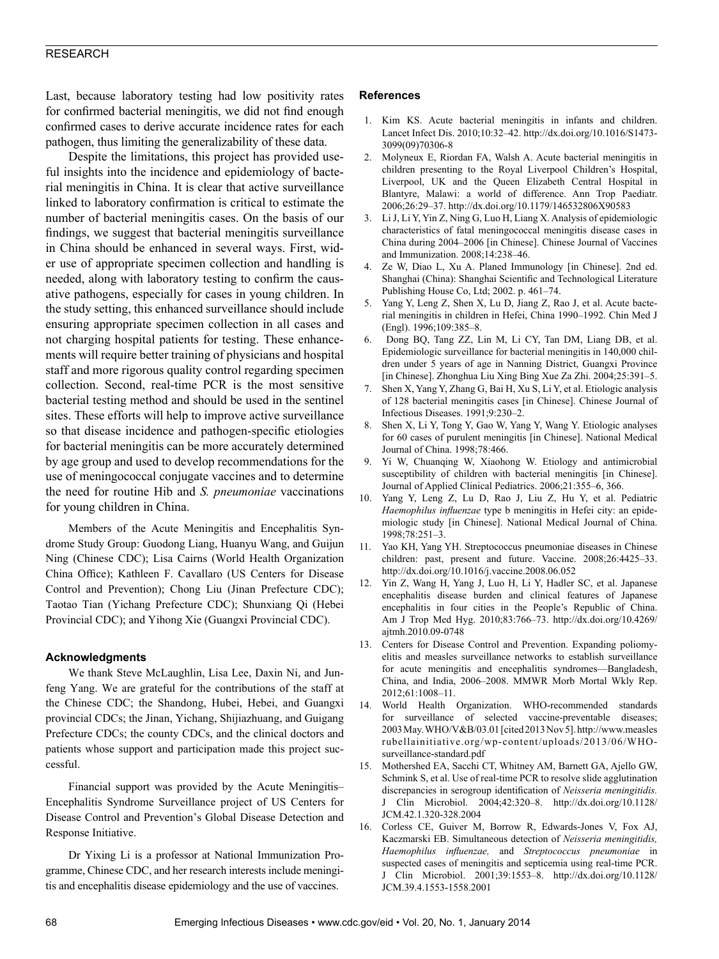Last, because laboratory testing had low positivity rates for confirmed bacterial meningitis, we did not find enough confirmed cases to derive accurate incidence rates for each pathogen, thus limiting the generalizability of these data.

Despite the limitations, this project has provided useful insights into the incidence and epidemiology of bacterial meningitis in China. It is clear that active surveillance linked to laboratory confirmation is critical to estimate the number of bacterial meningitis cases. On the basis of our findings, we suggest that bacterial meningitis surveillance in China should be enhanced in several ways. First, wider use of appropriate specimen collection and handling is needed, along with laboratory testing to confirm the causative pathogens, especially for cases in young children. In the study setting, this enhanced surveillance should include ensuring appropriate specimen collection in all cases and not charging hospital patients for testing. These enhancements will require better training of physicians and hospital staff and more rigorous quality control regarding specimen collection. Second, real-time PCR is the most sensitive bacterial testing method and should be used in the sentinel sites. These efforts will help to improve active surveillance so that disease incidence and pathogen-specific etiologies for bacterial meningitis can be more accurately determined by age group and used to develop recommendations for the use of meningococcal conjugate vaccines and to determine the need for routine Hib and *S. pneumoniae* vaccinations for young children in China.

Members of the Acute Meningitis and Encephalitis Syndrome Study Group: Guodong Liang, Huanyu Wang, and Guijun Ning (Chinese CDC); Lisa Cairns (World Health Organization China Office); Kathleen F. Cavallaro (US Centers for Disease Control and Prevention); Chong Liu (Jinan Prefecture CDC); Taotao Tian (Yichang Prefecture CDC); Shunxiang Qi (Hebei Provincial CDC); and Yihong Xie (Guangxi Provincial CDC).

#### **Acknowledgments**

We thank Steve McLaughlin, Lisa Lee, Daxin Ni, and Junfeng Yang. We are grateful for the contributions of the staff at the Chinese CDC; the Shandong, Hubei, Hebei, and Guangxi provincial CDCs; the Jinan, Yichang, Shijiazhuang, and Guigang Prefecture CDCs; the county CDCs, and the clinical doctors and patients whose support and participation made this project successful.

Financial support was provided by the Acute Meningitis– Encephalitis Syndrome Surveillance project of US Centers for Disease Control and Prevention's Global Disease Detection and Response Initiative.

Dr Yixing Li is a professor at National Immunization Programme, Chinese CDC, and her research interests include meningitis and encephalitis disease epidemiology and the use of vaccines.

#### **References**

- 1. Kim KS. Acute bacterial meningitis in infants and children. Lancet Infect Dis. 2010;10:32–42. http://dx.doi.org/10.1016/S1473- 3099(09)70306-8
- 2. Molyneux E, Riordan FA, Walsh A. Acute bacterial meningitis in children presenting to the Royal Liverpool Children's Hospital, Liverpool, UK and the Queen Elizabeth Central Hospital in Blantyre, Malawi: a world of difference. Ann Trop Paediatr. 2006;26:29–37. http://dx.doi.org/10.1179/146532806X90583
- 3. Li J, Li Y, Yin Z, Ning G, Luo H, Liang X. Analysis of epidemiologic characteristics of fatal meningococcal meningitis disease cases in China during 2004–2006 [in Chinese]. Chinese Journal of Vaccines and Immunization. 2008;14:238–46.
- Ze W, Diao L, Xu A. Planed Immunology [in Chinese]. 2nd ed. Shanghai (China): Shanghai Scientific and Technological Literature Publishing House Co, Ltd; 2002. p. 461–74.
- 5. Yang Y, Leng Z, Shen X, Lu D, Jiang Z, Rao J, et al. Acute bacterial meningitis in children in Hefei, China 1990–1992. Chin Med J (Engl). 1996;109:385–8.
- 6. Dong BQ, Tang ZZ, Lin M, Li CY, Tan DM, Liang DB, et al. Epidemiologic surveillance for bacterial meningitis in 140,000 children under 5 years of age in Nanning District, Guangxi Province [in Chinese]. Zhonghua Liu Xing Bing Xue Za Zhi. 2004;25:391–5.
- 7. Shen X, Yang Y, Zhang G, Bai H, Xu S, Li Y, et al. Etiologic analysis of 128 bacterial meningitis cases [in Chinese]. Chinese Journal of Infectious Diseases. 1991;9:230–2.
- 8. Shen X, Li Y, Tong Y, Gao W, Yang Y, Wang Y. Etiologic analyses for 60 cases of purulent meningitis [in Chinese]. National Medical Journal of China. 1998;78:466.
- 9. Yi W, Chuanqing W, Xiaohong W. Etiology and antimicrobial susceptibility of children with bacterial meningitis [in Chinese]. Journal of Applied Clinical Pediatrics. 2006;21:355–6, 366.
- 10. Yang Y, Leng Z, Lu D, Rao J, Liu Z, Hu Y, et al. Pediatric *Haemophilus influenzae* type b meningitis in Hefei city: an epidemiologic study [in Chinese]. National Medical Journal of China. 1998;78:251–3.
- 11. Yao KH, Yang YH. Streptococcus pneumoniae diseases in Chinese children: past, present and future. Vaccine. 2008;26:4425–33. http://dx.doi.org/10.1016/j.vaccine.2008.06.052
- 12. Yin Z, Wang H, Yang J, Luo H, Li Y, Hadler SC, et al. Japanese encephalitis disease burden and clinical features of Japanese encephalitis in four cities in the People's Republic of China. Am J Trop Med Hyg. 2010;83:766–73. http://dx.doi.org/10.4269/ ajtmh.2010.09-0748
- 13. Centers for Disease Control and Prevention. Expanding poliomyelitis and measles surveillance networks to establish surveillance for acute meningitis and encephalitis syndromes—Bangladesh, China, and India, 2006–2008. MMWR Morb Mortal Wkly Rep. 2012;61:1008–11.
- 14. World Health Organization. WHO-recommended standards for surveillance of selected vaccine-preventable diseases; 2003 May. WHO/V&B/03.01 [cited 2013 Nov 5]. http://www.measles rubellainitiative.org/wp-content/uploads/2013/06/WHOsurveillance-standard.pdf
- 15. Mothershed EA, Sacchi CT, Whitney AM, Barnett GA, Ajello GW, Schmink S, et al. Use of real-time PCR to resolve slide agglutination discrepancies in serogroup identification of *Neisseria meningitidis.* J Clin Microbiol. 2004;42:320–8. http://dx.doi.org/10.1128/ JCM.42.1.320-328.2004
- 16. Corless CE, Guiver M, Borrow R, Edwards-Jones V, Fox AJ, Kaczmarski EB. Simultaneous detection of *Neisseria meningitidis, Haemophilus influenzae,* and *Streptococcus pneumoniae* in suspected cases of meningitis and septicemia using real-time PCR. J Clin Microbiol. 2001;39:1553–8. http://dx.doi.org/10.1128/ JCM.39.4.1553-1558.2001